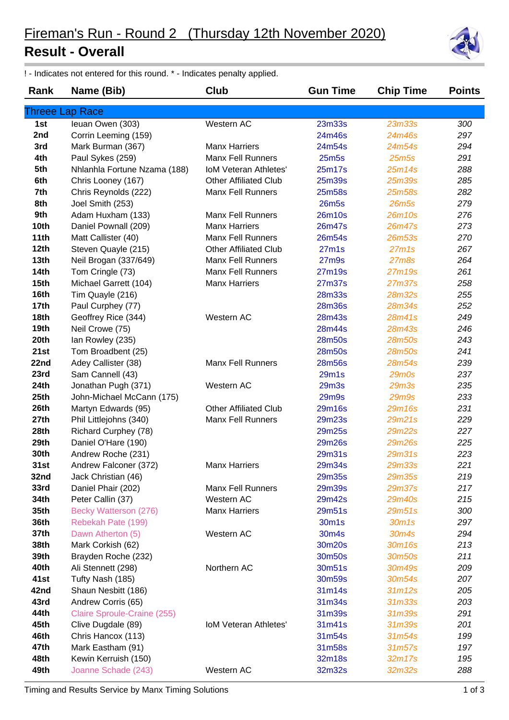## **Result - Overall**





! - Indicates not entered for this round. \* - Indicates penalty applied.

| Rank             | Name (Bib)                   | Club                         | <b>Gun Time</b>    | <b>Chip Time</b>               | <b>Points</b> |
|------------------|------------------------------|------------------------------|--------------------|--------------------------------|---------------|
|                  | Threee Lap Race              |                              |                    |                                |               |
| 1st              | Ieuan Owen (303)             | Western AC                   | 23m33s             | 23m33s                         | 300           |
| 2nd              | Corrin Leeming (159)         |                              | 24m46s             | 24m46s                         | 297           |
| 3rd              | Mark Burman (367)            | <b>Manx Harriers</b>         | 24m54s             | 24m54s                         | 294           |
| 4th              | Paul Sykes (259)             | <b>Manx Fell Runners</b>     | 25 <sub>m5s</sub>  | 25 <sub>m5s</sub>              | 291           |
| 5th              | Nhlanhla Fortune Nzama (188) | <b>IoM Veteran Athletes'</b> | 25m17s             | 25m14s                         | 288           |
| 6th              | Chris Looney (167)           | Other Affiliated Club        | 25m39s             | 25m39s                         | 285           |
| 7th              | Chris Reynolds (222)         | <b>Manx Fell Runners</b>     | 25m58s             | 25m58s                         | 282           |
| 8th              | Joel Smith (253)             |                              | <b>26m5s</b>       | 26m5s                          | 279           |
| 9th              | Adam Huxham (133)            | <b>Manx Fell Runners</b>     | 26m10s             | 26m10s                         | 276           |
| 10th             | Daniel Pownall (209)         | <b>Manx Harriers</b>         | 26m47s             | 26m47s                         | 273           |
| 11th             | Matt Callister (40)          | <b>Manx Fell Runners</b>     | 26m54s             | 26m53s                         | 270           |
| 12th             | Steven Quayle (215)          | Other Affiliated Club        | 27 <sub>m1s</sub>  | 27m1s                          | 267           |
| 13 <sub>th</sub> | Neil Brogan (337/649)        | <b>Manx Fell Runners</b>     | 27 <sub>m</sub> 9s | 27m8s                          | 264           |
| <b>14th</b>      | Tom Cringle (73)             | <b>Manx Fell Runners</b>     | 27m19s             | 27m19s                         | 261           |
| 15 <sub>th</sub> | Michael Garrett (104)        | <b>Manx Harriers</b>         | 27m37s             | <b>27m37s</b>                  | 258           |
| 16th             | Tim Quayle (216)             |                              | 28m33s             | 28m32s                         | 255           |
| 17 <sub>th</sub> | Paul Curphey (77)            |                              | 28m36s             | <b>28m34s</b>                  | 252           |
| 18th             | Geoffrey Rice (344)          | Western AC                   | 28m43s             | 28m41s                         | 249           |
| 19th             | Neil Crowe (75)              |                              | 28m44s             | 28m43s                         | 246           |
| 20th             | lan Rowley (235)             |                              | 28m50s             | <b>28m50s</b>                  | 243           |
| 21st             | Tom Broadbent (25)           |                              | 28m50s             | <b>28m50s</b>                  | 241           |
| 22nd             | Adey Callister (38)          | <b>Manx Fell Runners</b>     | 28m56s             | 28m54s                         | 239           |
| 23rd             | Sam Cannell (43)             |                              | 29m1s              | 29m0s                          | 237           |
| 24th             | Jonathan Pugh (371)          | Western AC                   | 29 <sub>m3s</sub>  | <b>29m3s</b>                   | 235           |
| 25th             | John-Michael McCann (175)    |                              | 29m9s              | <b>29m9s</b>                   | 233           |
| 26th             | Martyn Edwards (95)          | <b>Other Affiliated Club</b> | 29m16s             | 29m16s                         | 231           |
| 27th             | Phil Littlejohns (340)       | <b>Manx Fell Runners</b>     | 29m23s             | 29m21s                         | 229           |
| 28th             | Richard Curphey (78)         |                              | 29m25s             | <b>29m22s</b>                  | 227           |
| 29th             | Daniel O'Hare (190)          |                              | 29m26s             | <b>29m26s</b>                  | 225           |
| 30th             | Andrew Roche (231)           |                              | 29m31s             | 29m31s                         | 223           |
| 31st             | Andrew Falconer (372)        | <b>Manx Harriers</b>         | 29m34s             | <b>29m33s</b>                  | 221           |
| 32nd             | Jack Christian (46)          |                              | 29m35s             | <b>29m35s</b>                  | 219           |
| 33rd             | Daniel Phair (202)           | <b>Manx Fell Runners</b>     | 29m39s             | 29m37s                         | 217           |
| 34th             | Peter Callin (37)            | Western AC                   | 29m42s             | <b>29m40s</b>                  | 215           |
| 35th             | Becky Watterson (276)        | <b>Manx Harriers</b>         | 29m51s             | 29m51s                         | 300           |
| 36th             | Rebekah Pate (199)           |                              | 30m1s              | 30 <sub>m</sub> 1 <sub>s</sub> | 297           |
| 37th             | Dawn Atherton (5)            | Western AC                   | 30m4s              | 30m4s                          | 294           |
| 38th             | Mark Corkish (62)            |                              | 30m20s             | 30m16s                         | 213           |
| 39th             | Brayden Roche (232)          |                              | 30m50s             | 30m50s                         | 211           |
| 40th             | Ali Stennett (298)           | Northern AC                  | 30m51s             | 30m49s                         | 209           |
| 41st             | Tufty Nash (185)             |                              | 30m59s             | 30m54s                         | 207           |
| 42nd             | Shaun Nesbitt (186)          |                              | 31m14s             | 31m12s                         | 205           |
| 43rd             | Andrew Corris (65)           |                              | 31m34s             | 31 <sub>m33s</sub>             | 203           |
| 44th             | Claire Sproule-Craine (255)  |                              | 31m39s             | 31m39s                         | 291           |
| 45th             | Clive Dugdale (89)           | <b>IoM Veteran Athletes'</b> | 31m41s             | 31m39s                         | 201           |
| 46th             | Chris Hancox (113)           |                              | 31m54s             | 31m54s                         | 199           |
| 47th             | Mark Eastham (91)            |                              | 31m58s             | 31m57s                         | 197           |
| 48th             | Kewin Kerruish (150)         |                              | 32m18s             | 32m17s                         | 195           |
| 49th             | Joanne Schade (243)          | Western AC                   | 32m32s             | 32m32s                         | 288           |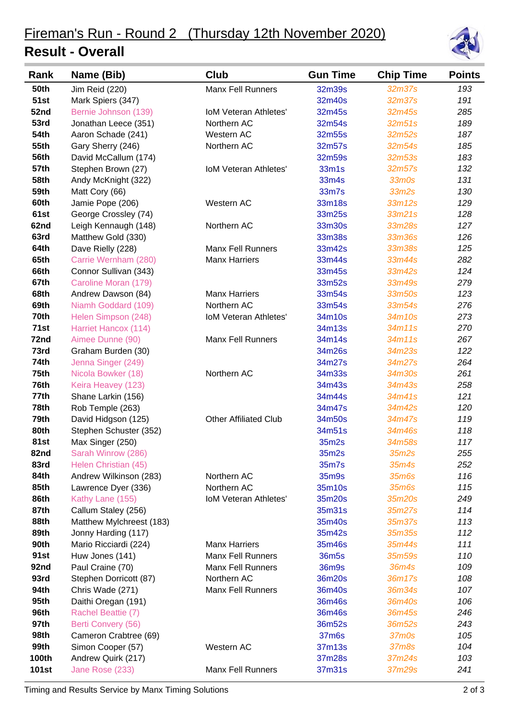## **Result - Overall**



| Rank         | Name (Bib)               | Club                         | <b>Gun Time</b>   | <b>Chip Time</b>  | <b>Points</b> |
|--------------|--------------------------|------------------------------|-------------------|-------------------|---------------|
| <b>50th</b>  | Jim Reid (220)           | <b>Manx Fell Runners</b>     | 32m39s            | 32m37s            | 193           |
| <b>51st</b>  | Mark Spiers (347)        |                              | 32m40s            | 32m37s            | 191           |
| 52nd         | Bernie Johnson (139)     | <b>IoM Veteran Athletes'</b> | 32m45s            | 32m45s            | 285           |
| 53rd         | Jonathan Leece (351)     | Northern AC                  | 32m54s            | 32m51s            | 189           |
| <b>54th</b>  | Aaron Schade (241)       | Western AC                   | 32m55s            | 32m52s            | 187           |
| <b>55th</b>  | Gary Sherry (246)        | Northern AC                  | 32m57s            | 32m54s            | 185           |
| <b>56th</b>  | David McCallum (174)     |                              | 32m59s            | 32m53s            | 183           |
| <b>57th</b>  | Stephen Brown (27)       | <b>IoM Veteran Athletes'</b> | 33m1s             | 32m57s            | 132           |
| 58th         | Andy McKnight (322)      |                              | 33m4s             | 33m0s             | 131           |
| 59th         | Matt Cory (66)           |                              | 33m7s             | 33m2s             | 130           |
| 60th         | Jamie Pope (206)         | Western AC                   | 33m18s            | 33m12s            | 129           |
| 61st         | George Crossley (74)     |                              | 33m25s            | 33m21s            | 128           |
| 62nd         | Leigh Kennaugh (148)     | Northern AC                  | 33m30s            | 33m28s            | 127           |
| 63rd         | Matthew Gold (330)       |                              | 33m38s            | 33m36s            | 126           |
| 64th         | Dave Rielly (228)        | <b>Manx Fell Runners</b>     | 33m42s            | 33m38s            | 125           |
| 65th         | Carrie Wernham (280)     | <b>Manx Harriers</b>         | 33m44s            | 33m44s            | 282           |
| 66th         | Connor Sullivan (343)    |                              | 33m45s            | 33m42s            | 124           |
| 67th         | Caroline Moran (179)     |                              | 33m52s            | 33m49s            | 279           |
| 68th         | Andrew Dawson (84)       | <b>Manx Harriers</b>         | 33m54s            | 33m50s            | 123           |
| 69th         | Niamh Goddard (109)      | Northern AC                  | 33m54s            | 33m54s            | 276           |
| 70th         | Helen Simpson (248)      | <b>IoM Veteran Athletes'</b> | 34m10s            | 34m10s            | 273           |
| 71st         | Harriet Hancox (114)     |                              | 34m13s            | 34m11s            | 270           |
| 72nd         | Aimee Dunne (90)         | <b>Manx Fell Runners</b>     | 34m14s            | 34m11s            | 267           |
| 73rd         | Graham Burden (30)       |                              | 34m26s            | 34m23s            | 122           |
| 74th         | Jenna Singer (249)       |                              | 34m27s            | 34m27s            | 264           |
| 75th         | Nicola Bowker (18)       | Northern AC                  | 34m33s            | 34m30s            | 261           |
| 76th         | Keira Heavey (123)       |                              | 34m43s            | 34m43s            | 258           |
| 77th         | Shane Larkin (156)       |                              | 34m44s            | 34m41s            | 121           |
| 78th         | Rob Temple (263)         |                              | 34m47s            | 34m42s            | 120           |
| 79th         | David Hidgson (125)      | <b>Other Affiliated Club</b> | 34m50s            | 34m47s            | 119           |
| 80th         | Stephen Schuster (352)   |                              | 34m51s            | 34m46s            | 118           |
| <b>81st</b>  | Max Singer (250)         |                              | 35m2s             | 34m58s            | 117           |
| 82nd         | Sarah Winrow (286)       |                              | 35m2s             | 35m2s             | 255           |
| 83rd         | Helen Christian (45)     |                              | 35m7s             | 35m4s             | 252           |
| 84th         | Andrew Wilkinson (283)   | Northern AC                  | 35m9s             | 35 <sub>m6s</sub> | 116           |
| 85th         | Lawrence Dyer (336)      | Northern AC                  | 35m10s            | 35 <sub>m6s</sub> | 115           |
| 86th         | Kathy Lane (155)         | IoM Veteran Athletes'        | 35m20s            | 35m20s            | 249           |
| 87th         | Callum Staley (256)      |                              | 35m31s            | 35m27s            | 114           |
| 88th         | Matthew Mylchreest (183) |                              | 35m40s            | 35m37s            | 113           |
| 89th         | Jonny Harding (117)      |                              | 35m42s            | 35m35s            | 112           |
| 90th         | Mario Ricciardi (224)    | <b>Manx Harriers</b>         | 35m46s            | 35m44s            | 111           |
| 91st         | Huw Jones (141)          | <b>Manx Fell Runners</b>     | 36m <sub>5s</sub> | 35m59s            | 110           |
| 92nd         | Paul Craine (70)         | <b>Manx Fell Runners</b>     | 36m9s             | 36m4s             | 109           |
| 93rd         | Stephen Dorricott (87)   | Northern AC                  | 36m20s            | 36m17s            | 108           |
| 94th         | Chris Wade (271)         | <b>Manx Fell Runners</b>     | 36m40s            | 36m34s            | 107           |
| 95th         | Daithi Oregan (191)      |                              | 36m46s            | 36m40s            | 106           |
| 96th         | Rachel Beattie (7)       |                              | 36m46s            | 36m45s            | 246           |
| 97th         | Berti Convery (56)       |                              | 36m52s            | 36m52s            | 243           |
| 98th         | Cameron Crabtree (69)    |                              | 37m6s             | 37m0s             | 105           |
| 99th         | Simon Cooper (57)        | Western AC                   | 37m13s            | 37m8s             | 104           |
| <b>100th</b> | Andrew Quirk (217)       |                              | 37m28s            | 37m24s            | 103           |
| <b>101st</b> | Jane Rose (233)          | <b>Manx Fell Runners</b>     | 37m31s            | 37m29s            | 241           |